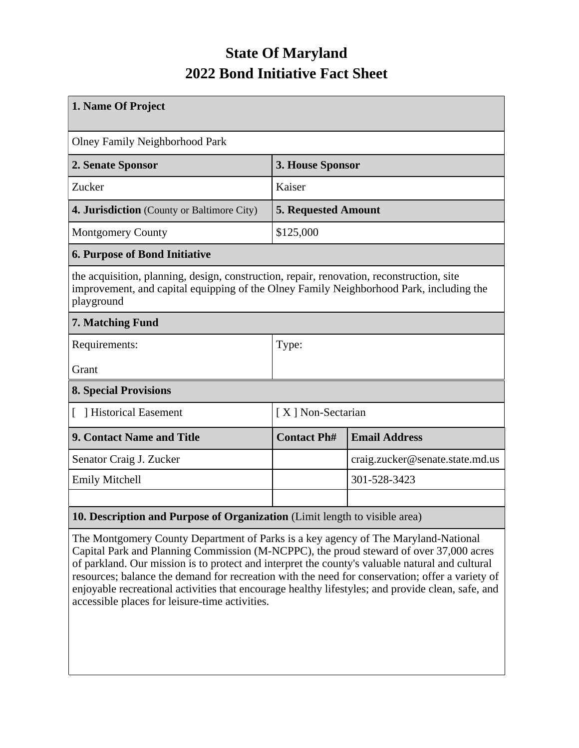## **State Of Maryland 2022 Bond Initiative Fact Sheet**

| 1. Name Of Project                                                                                                                                                                                 |                                            |                                 |  |  |  |
|----------------------------------------------------------------------------------------------------------------------------------------------------------------------------------------------------|--------------------------------------------|---------------------------------|--|--|--|
| <b>Olney Family Neighborhood Park</b>                                                                                                                                                              |                                            |                                 |  |  |  |
| 2. Senate Sponsor                                                                                                                                                                                  | 3. House Sponsor                           |                                 |  |  |  |
| Zucker                                                                                                                                                                                             | Kaiser                                     |                                 |  |  |  |
| 4. Jurisdiction (County or Baltimore City)                                                                                                                                                         | <b>5. Requested Amount</b>                 |                                 |  |  |  |
| <b>Montgomery County</b>                                                                                                                                                                           | \$125,000                                  |                                 |  |  |  |
| <b>6. Purpose of Bond Initiative</b>                                                                                                                                                               |                                            |                                 |  |  |  |
| the acquisition, planning, design, construction, repair, renovation, reconstruction, site<br>improvement, and capital equipping of the Olney Family Neighborhood Park, including the<br>playground |                                            |                                 |  |  |  |
| 7. Matching Fund                                                                                                                                                                                   |                                            |                                 |  |  |  |
| Requirements:                                                                                                                                                                                      | Type:                                      |                                 |  |  |  |
| Grant                                                                                                                                                                                              |                                            |                                 |  |  |  |
| <b>8. Special Provisions</b>                                                                                                                                                                       |                                            |                                 |  |  |  |
| Historical Easement<br>L                                                                                                                                                                           | [X] Non-Sectarian                          |                                 |  |  |  |
| 9. Contact Name and Title                                                                                                                                                                          | <b>Email Address</b><br><b>Contact Ph#</b> |                                 |  |  |  |
| Senator Craig J. Zucker                                                                                                                                                                            |                                            | craig.zucker@senate.state.md.us |  |  |  |
| <b>Emily Mitchell</b>                                                                                                                                                                              |                                            | 301-528-3423                    |  |  |  |
|                                                                                                                                                                                                    |                                            |                                 |  |  |  |
| 10. Description and Purpose of Organization (Limit length to visible area)                                                                                                                         |                                            |                                 |  |  |  |

The Montgomery County Department of Parks is a key agency of The Maryland-National Capital Park and Planning Commission (M-NCPPC), the proud steward of over 37,000 acres of parkland. Our mission is to protect and interpret the county's valuable natural and cultural resources; balance the demand for recreation with the need for conservation; offer a variety of enjoyable recreational activities that encourage healthy lifestyles; and provide clean, safe, and accessible places for leisure-time activities.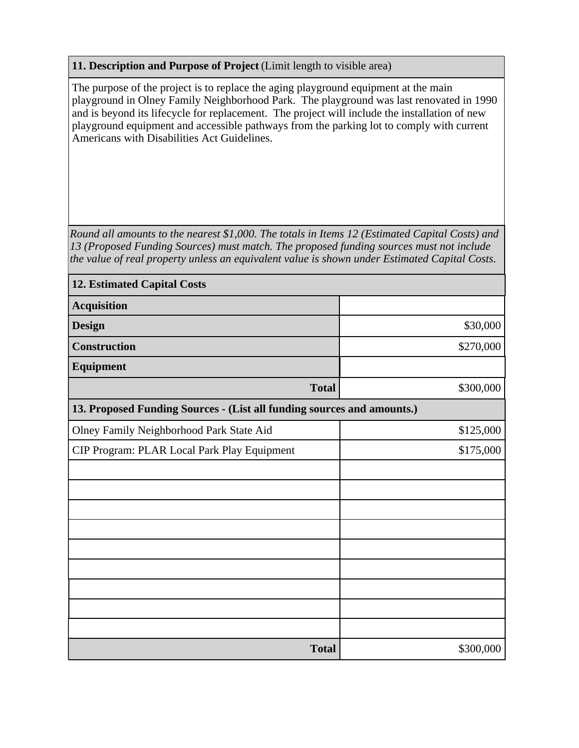## **11. Description and Purpose of Project** (Limit length to visible area)

The purpose of the project is to replace the aging playground equipment at the main playground in Olney Family Neighborhood Park. The playground was last renovated in 1990 and is beyond its lifecycle for replacement. The project will include the installation of new playground equipment and accessible pathways from the parking lot to comply with current Americans with Disabilities Act Guidelines.

*Round all amounts to the nearest \$1,000. The totals in Items 12 (Estimated Capital Costs) and 13 (Proposed Funding Sources) must match. The proposed funding sources must not include the value of real property unless an equivalent value is shown under Estimated Capital Costs.*

| <b>12. Estimated Capital Costs</b>                                     |           |  |  |  |  |
|------------------------------------------------------------------------|-----------|--|--|--|--|
| <b>Acquisition</b>                                                     |           |  |  |  |  |
| <b>Design</b>                                                          | \$30,000  |  |  |  |  |
| <b>Construction</b>                                                    | \$270,000 |  |  |  |  |
| <b>Equipment</b>                                                       |           |  |  |  |  |
| <b>Total</b>                                                           | \$300,000 |  |  |  |  |
| 13. Proposed Funding Sources - (List all funding sources and amounts.) |           |  |  |  |  |
| Olney Family Neighborhood Park State Aid                               | \$125,000 |  |  |  |  |
| CIP Program: PLAR Local Park Play Equipment                            | \$175,000 |  |  |  |  |
|                                                                        |           |  |  |  |  |
|                                                                        |           |  |  |  |  |
|                                                                        |           |  |  |  |  |
|                                                                        |           |  |  |  |  |
|                                                                        |           |  |  |  |  |
|                                                                        |           |  |  |  |  |
|                                                                        |           |  |  |  |  |
|                                                                        |           |  |  |  |  |
|                                                                        |           |  |  |  |  |
| <b>Total</b>                                                           | \$300,000 |  |  |  |  |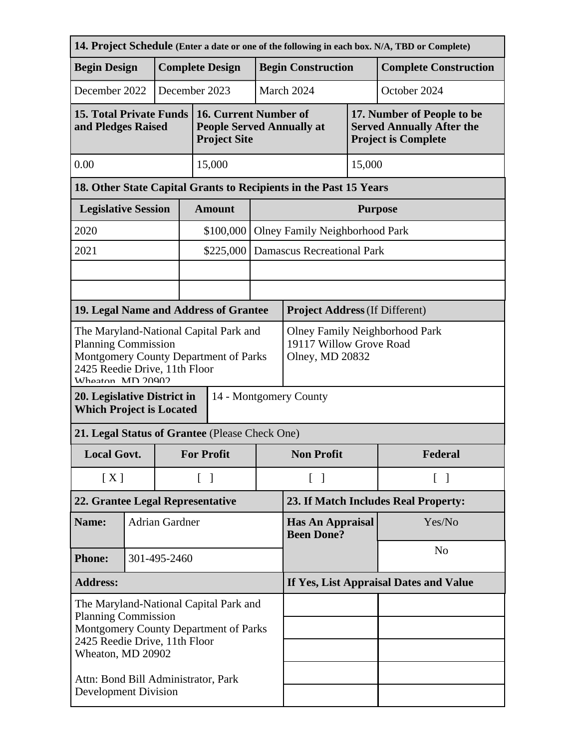| 14. Project Schedule (Enter a date or one of the following in each box. N/A, TBD or Complete)                                                                       |                        |              |                                                                                     |                                                                                  |                                              |                                       |                              |                                                                                              |  |
|---------------------------------------------------------------------------------------------------------------------------------------------------------------------|------------------------|--------------|-------------------------------------------------------------------------------------|----------------------------------------------------------------------------------|----------------------------------------------|---------------------------------------|------------------------------|----------------------------------------------------------------------------------------------|--|
| <b>Begin Design</b>                                                                                                                                                 | <b>Complete Design</b> |              |                                                                                     |                                                                                  | <b>Begin Construction</b>                    |                                       | <b>Complete Construction</b> |                                                                                              |  |
| December 2022                                                                                                                                                       |                        |              |                                                                                     | December 2023                                                                    |                                              | March 2024<br>October 2024            |                              |                                                                                              |  |
| <b>15. Total Private Funds</b><br>and Pledges Raised                                                                                                                |                        |              |                                                                                     | 16. Current Number of<br><b>People Served Annually at</b><br><b>Project Site</b> |                                              |                                       |                              | 17. Number of People to be<br><b>Served Annually After the</b><br><b>Project is Complete</b> |  |
| 0.00                                                                                                                                                                |                        |              |                                                                                     | 15,000                                                                           |                                              | 15,000                                |                              |                                                                                              |  |
| 18. Other State Capital Grants to Recipients in the Past 15 Years                                                                                                   |                        |              |                                                                                     |                                                                                  |                                              |                                       |                              |                                                                                              |  |
| <b>Legislative Session</b>                                                                                                                                          |                        |              |                                                                                     | <b>Amount</b>                                                                    |                                              | <b>Purpose</b>                        |                              |                                                                                              |  |
| 2020                                                                                                                                                                |                        |              |                                                                                     | \$100,000                                                                        |                                              | <b>Olney Family Neighborhood Park</b> |                              |                                                                                              |  |
| 2021                                                                                                                                                                |                        |              |                                                                                     | \$225,000                                                                        |                                              | <b>Damascus Recreational Park</b>     |                              |                                                                                              |  |
|                                                                                                                                                                     |                        |              |                                                                                     |                                                                                  |                                              |                                       |                              |                                                                                              |  |
|                                                                                                                                                                     |                        |              |                                                                                     |                                                                                  |                                              |                                       |                              |                                                                                              |  |
|                                                                                                                                                                     |                        |              |                                                                                     | 19. Legal Name and Address of Grantee                                            |                                              | <b>Project Address (If Different)</b> |                              |                                                                                              |  |
| The Maryland-National Capital Park and<br><b>Planning Commission</b><br>Montgomery County Department of Parks<br>2425 Reedie Drive, 11th Floor<br>Wheaton MD 20002  |                        |              | <b>Olney Family Neighborhood Park</b><br>19117 Willow Grove Road<br>Olney, MD 20832 |                                                                                  |                                              |                                       |                              |                                                                                              |  |
| 14 - Montgomery County<br>20. Legislative District in<br><b>Which Project is Located</b>                                                                            |                        |              |                                                                                     |                                                                                  |                                              |                                       |                              |                                                                                              |  |
| 21. Legal Status of Grantee (Please Check One)                                                                                                                      |                        |              |                                                                                     |                                                                                  |                                              |                                       |                              |                                                                                              |  |
| <b>Local Govt.</b>                                                                                                                                                  |                        |              | <b>For Profit</b>                                                                   |                                                                                  | <b>Non Profit</b>                            |                                       | Federal                      |                                                                                              |  |
| [X]                                                                                                                                                                 |                        |              | $\lceil \; \rceil$                                                                  |                                                                                  | $\lceil \ \rceil$                            | $\lceil \; \rceil$                    |                              |                                                                                              |  |
| 22. Grantee Legal Representative                                                                                                                                    |                        |              | 23. If Match Includes Real Property:                                                |                                                                                  |                                              |                                       |                              |                                                                                              |  |
| Name:                                                                                                                                                               | <b>Adrian Gardner</b>  |              |                                                                                     |                                                                                  | <b>Has An Appraisal</b><br><b>Been Done?</b> |                                       | Yes/No                       |                                                                                              |  |
| <b>Phone:</b>                                                                                                                                                       |                        | 301-495-2460 |                                                                                     |                                                                                  |                                              |                                       | N <sub>o</sub>               |                                                                                              |  |
| <b>Address:</b>                                                                                                                                                     |                        |              | If Yes, List Appraisal Dates and Value                                              |                                                                                  |                                              |                                       |                              |                                                                                              |  |
| The Maryland-National Capital Park and<br><b>Planning Commission</b><br>Montgomery County Department of Parks<br>2425 Reedie Drive, 11th Floor<br>Wheaton, MD 20902 |                        |              |                                                                                     |                                                                                  |                                              |                                       |                              |                                                                                              |  |
| Attn: Bond Bill Administrator, Park<br><b>Development Division</b>                                                                                                  |                        |              |                                                                                     |                                                                                  |                                              |                                       |                              |                                                                                              |  |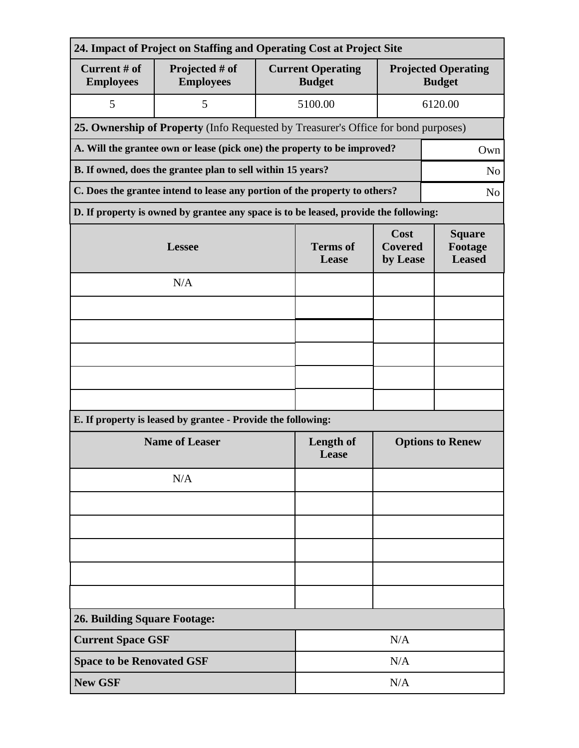| 24. Impact of Project on Staffing and Operating Cost at Project Site            |                                                                                              |                          |                                           |                                             |  |  |  |
|---------------------------------------------------------------------------------|----------------------------------------------------------------------------------------------|--------------------------|-------------------------------------------|---------------------------------------------|--|--|--|
| Current # of<br><b>Employees</b>                                                | Projected # of<br><b>Employees</b>                                                           |                          | <b>Current Operating</b><br><b>Budget</b> | <b>Projected Operating</b><br><b>Budget</b> |  |  |  |
| 5                                                                               | 5                                                                                            |                          | 5100.00                                   | 6120.00                                     |  |  |  |
|                                                                                 | 25. Ownership of Property (Info Requested by Treasurer's Office for bond purposes)           |                          |                                           |                                             |  |  |  |
| A. Will the grantee own or lease (pick one) the property to be improved?<br>Own |                                                                                              |                          |                                           |                                             |  |  |  |
| B. If owned, does the grantee plan to sell within 15 years?<br>N <sub>o</sub>   |                                                                                              |                          |                                           |                                             |  |  |  |
|                                                                                 | C. Does the grantee intend to lease any portion of the property to others?<br>N <sub>o</sub> |                          |                                           |                                             |  |  |  |
|                                                                                 | D. If property is owned by grantee any space is to be leased, provide the following:         |                          |                                           |                                             |  |  |  |
|                                                                                 | <b>Lessee</b>                                                                                | <b>Terms</b> of<br>Lease | Cost<br><b>Covered</b><br>by Lease        | <b>Square</b><br>Footage<br><b>Leased</b>   |  |  |  |
|                                                                                 | N/A                                                                                          |                          |                                           |                                             |  |  |  |
|                                                                                 |                                                                                              |                          |                                           |                                             |  |  |  |
|                                                                                 |                                                                                              |                          |                                           |                                             |  |  |  |
|                                                                                 |                                                                                              |                          |                                           |                                             |  |  |  |
|                                                                                 |                                                                                              |                          |                                           |                                             |  |  |  |
|                                                                                 |                                                                                              |                          |                                           |                                             |  |  |  |
|                                                                                 | E. If property is leased by grantee - Provide the following:                                 |                          |                                           |                                             |  |  |  |
| <b>Name of Leaser</b>                                                           |                                                                                              |                          | Length of<br>Lease                        | <b>Options to Renew</b>                     |  |  |  |
|                                                                                 | N/A                                                                                          |                          |                                           |                                             |  |  |  |
|                                                                                 |                                                                                              |                          |                                           |                                             |  |  |  |
|                                                                                 |                                                                                              |                          |                                           |                                             |  |  |  |
|                                                                                 |                                                                                              |                          |                                           |                                             |  |  |  |
|                                                                                 |                                                                                              |                          |                                           |                                             |  |  |  |
|                                                                                 |                                                                                              |                          |                                           |                                             |  |  |  |
| <b>26. Building Square Footage:</b>                                             |                                                                                              |                          |                                           |                                             |  |  |  |
| <b>Current Space GSF</b>                                                        |                                                                                              | N/A                      |                                           |                                             |  |  |  |
| <b>Space to be Renovated GSF</b>                                                |                                                                                              |                          | N/A                                       |                                             |  |  |  |
| <b>New GSF</b>                                                                  |                                                                                              |                          | N/A                                       |                                             |  |  |  |